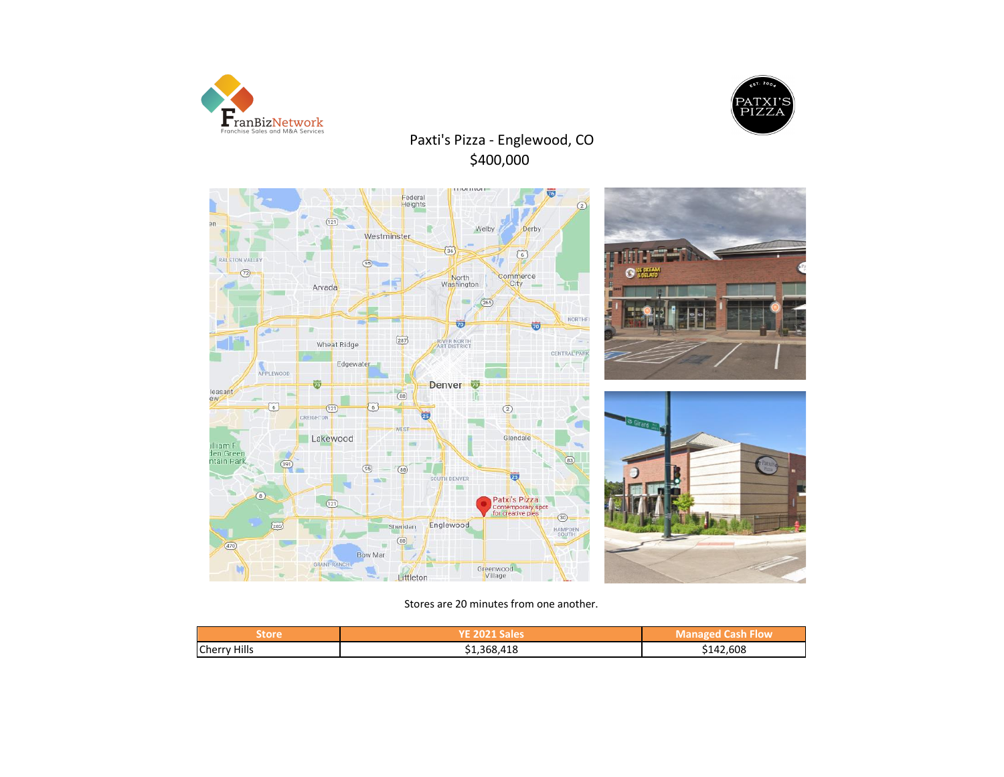



# Paxti's Pizza - Englewood, CO \$400,000



Stores are 20 minutes from one another.

| Store.              | $\pi$ 2021 Sales |           |  |  |  |
|---------------------|------------------|-----------|--|--|--|
| <b>Cherry Hills</b> | \$1,368,418      | \$142,608 |  |  |  |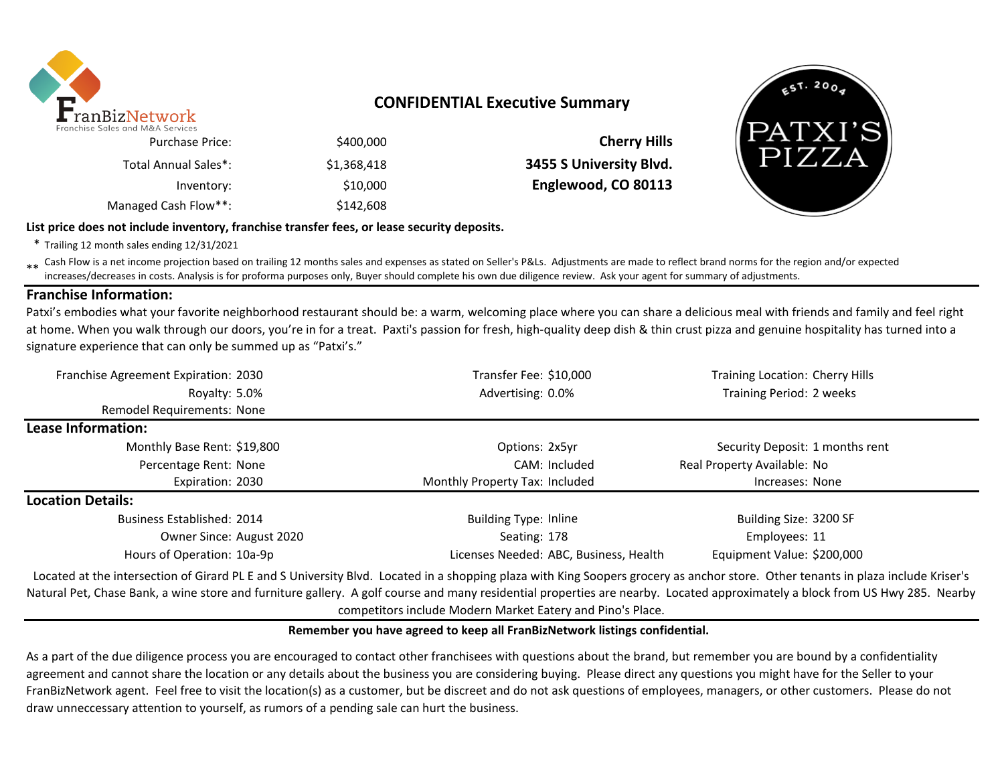

## **CONFIDENTIAL Executive Summary**

Inventory: \$10,000 **Englewood, CO 80113** Managed Cash Flow\*\*: \$142,608 Purchase Price: Total Annual Sales\*:

\$400,000 **Cherry Hills** \$1,368,418 **3455 S University Blvd.**



#### **List price does not include inventory, franchise transfer fees, or lease security deposits.**

\* Trailing 12 month sales ending 12/31/2021

\*\* Cash Flow is a net income projection based on trailing 12 months sales and expenses as stated on Seller's P&Ls. Adjustments are made to reflect brand norms for the region and/or expected in costs. Analysis is for profor increases/decreases in costs. Analysis is for proforma purposes only, Buyer should complete his own due diligence review. Ask your agent for summary of adjustments.

## **Franchise Information:**

Patxi's embodies what your favorite neighborhood restaurant should be: a warm, welcoming place where you can share a delicious meal with friends and family and feel right at home. When you walk through our doors, you're in for a treat. Paxti's passion for fresh, high-quality deep dish & thin crust pizza and genuine hospitality has turned into a signature experience that can only be summed up as "Patxi's."

| Franchise Agreement Expiration: 2030                                                                                                                                             | Transfer Fee: \$10,000                 | Training Location: Cherry Hills |  |  |  |
|----------------------------------------------------------------------------------------------------------------------------------------------------------------------------------|----------------------------------------|---------------------------------|--|--|--|
| Royalty: 5.0%                                                                                                                                                                    | Advertising: 0.0%                      | Training Period: 2 weeks        |  |  |  |
| Remodel Requirements: None                                                                                                                                                       |                                        |                                 |  |  |  |
| Lease Information:                                                                                                                                                               |                                        |                                 |  |  |  |
| Monthly Base Rent: \$19,800                                                                                                                                                      | Options: 2x5yr                         | Security Deposit: 1 months rent |  |  |  |
| Percentage Rent: None                                                                                                                                                            | CAM: Included                          | Real Property Available: No     |  |  |  |
| Expiration: 2030                                                                                                                                                                 | Monthly Property Tax: Included         | Increases: None                 |  |  |  |
| <b>Location Details:</b>                                                                                                                                                         |                                        |                                 |  |  |  |
| <b>Business Established: 2014</b>                                                                                                                                                | <b>Building Type: Inline</b>           | Building Size: 3200 SF          |  |  |  |
| Owner Since: August 2020                                                                                                                                                         | Seating: 178                           | Employees: 11                   |  |  |  |
| Hours of Operation: 10a-9p                                                                                                                                                       | Licenses Needed: ABC, Business, Health | Equipment Value: \$200,000      |  |  |  |
| Located at the intersection of Girard PL E and S University Blvd. Located in a shopping plaza with King Soopers grocery as anchor store. Other tenants in plaza include Kriser's |                                        |                                 |  |  |  |

Natural Pet, Chase Bank, a wine store and furniture gallery. A golf course and many residential properties are nearby. Located approximately a block from US Hwy 285. Nearby competitors include Modern Market Eatery and Pino's Place.

#### **Remember you have agreed to keep all FranBizNetwork listings confidential.**

As a part of the due diligence process you are encouraged to contact other franchisees with questions about the brand, but remember you are bound by a confidentiality agreement and cannot share the location or any details about the business you are considering buying. Please direct any questions you might have for the Seller to your FranBizNetwork agent. Feel free to visit the location(s) as a customer, but be discreet and do not ask questions of employees, managers, or other customers. Please do not draw unneccessary attention to yourself, as rumors of a pending sale can hurt the business.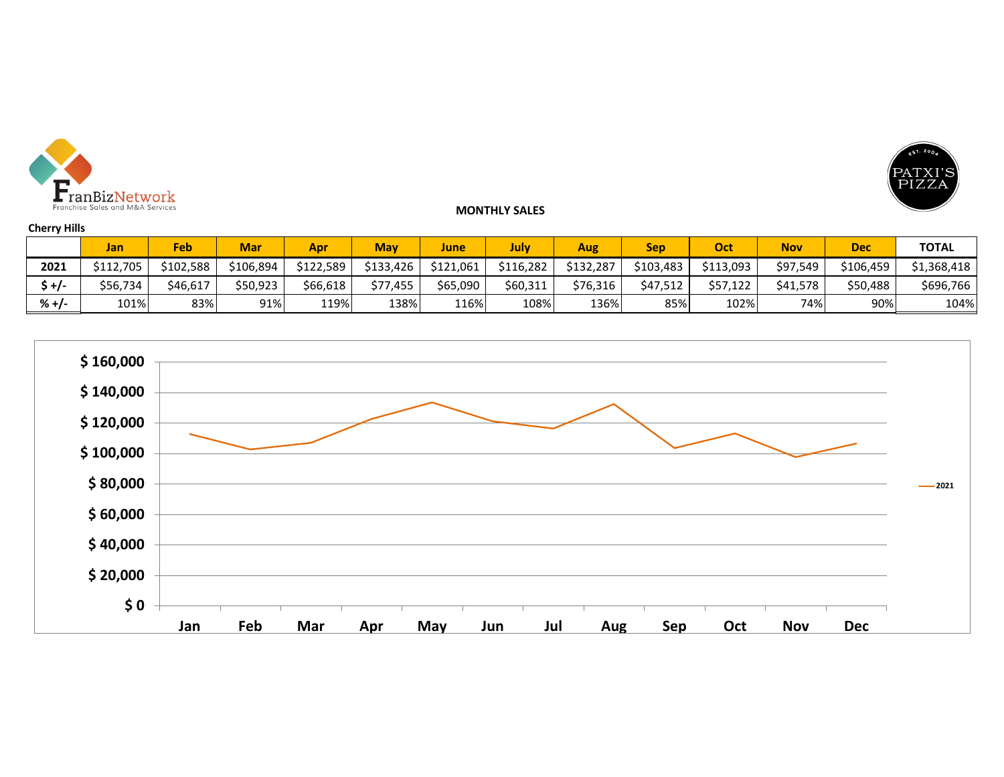



### **MONTHLY SALES**

| <b>Cherry Hills</b> |            |           |            |            |           |           |           |           |            |           |            |            |              |
|---------------------|------------|-----------|------------|------------|-----------|-----------|-----------|-----------|------------|-----------|------------|------------|--------------|
|                     | <b>Jan</b> | Feb       | <b>Mar</b> | <b>Apr</b> | May       | June      | July      | Aug       | <b>Sep</b> | Oct       | <b>Nov</b> | <b>Dec</b> | <b>TOTAL</b> |
| 2021                | \$112.705  | \$102.588 | \$106.894  | \$122.589  | \$133.426 | \$121.061 | \$116.282 | \$132.287 | \$103,483  | \$113.093 | \$97,549   | \$106,459  | \$1,368,418  |
| \$+/-               | \$56,734   | \$46,617  | \$50,923   | \$66,618   | \$77.455  | \$65.090  | \$60,311  | \$76,316  | \$47,512   | \$57,122  | \$41,578   | \$50,488   | \$696,766    |
| $% +/-$             | 101%       | 83%       | 91%        | 119%       | 138%      | 116%      | 108%      | 136%      | 85%        | 102%      | 74%        | 90%        | 104%         |